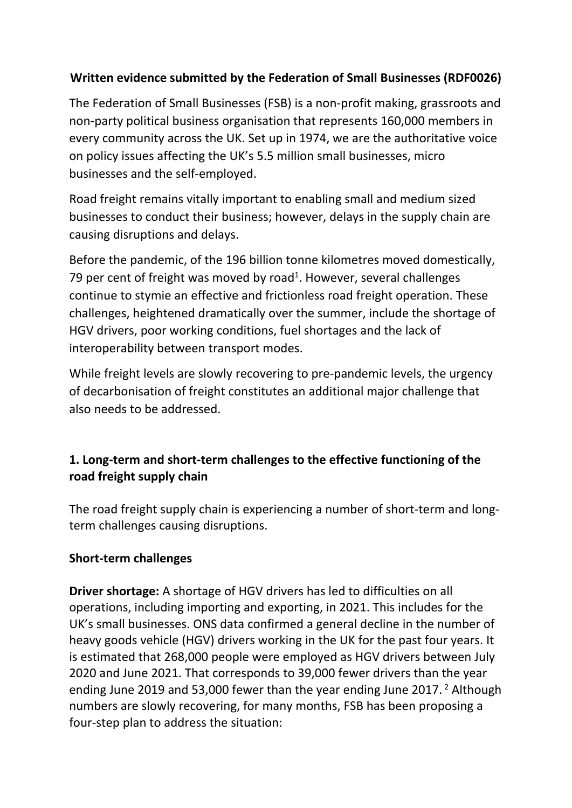# **Written evidence submitted by the Federation of Small Businesses (RDF0026)**

The Federation of Small Businesses (FSB) is a non-profit making, grassroots and non-party political business organisation that represents 160,000 members in every community across the UK. Set up in 1974, we are the authoritative voice on policy issues affecting the UK's 5.5 million small businesses, micro businesses and the self-employed.

Road freight remains vitally important to enabling small and medium sized businesses to conduct their business; however, delays in the supply chain are causing disruptions and delays.

Before the pandemic, of the 196 billion tonne kilometres moved domestically, 79 per cent of freight was moved by road<sup>1</sup>. However, several challenges continue to stymie an effective and frictionless road freight operation. These challenges, heightened dramatically over the summer, include the shortage of HGV drivers, poor working conditions, fuel shortages and the lack of interoperability between transport modes.

While freight levels are slowly recovering to pre-pandemic levels, the urgency of decarbonisation of freight constitutes an additional major challenge that also needs to be addressed.

# **1. Long-term and short-term challenges to the effective functioning of the road freight supply chain**

The road freight supply chain is experiencing a number of short-term and longterm challenges causing disruptions.

### **Short-term challenges**

**Driver shortage:** A shortage of HGV drivers has led to difficulties on all operations, including importing and exporting, in 2021. This includes for the UK's small businesses. ONS data confirmed a general decline in the number of heavy goods vehicle (HGV) drivers working in the UK for the past four years. It is estimated that 268,000 people were employed as HGV drivers between July 2020 and June 2021. That corresponds to 39,000 fewer drivers than the year ending June 2019 and 53,000 fewer than the year ending June 2017. <sup>2</sup> Although numbers are slowly recovering, for many months, FSB has been proposing a four-step plan to address the situation: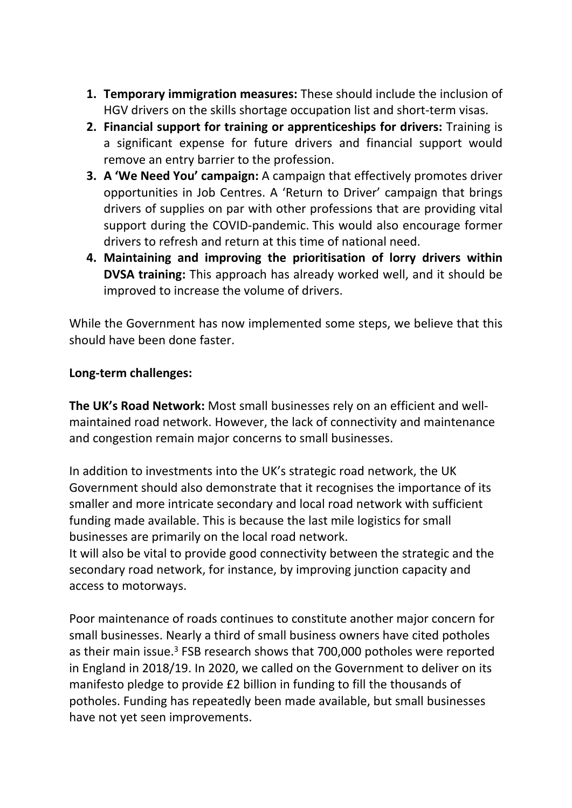- **1. Temporary immigration measures:** These should include the inclusion of HGV drivers on the skills shortage occupation list and short-term visas.
- **2. Financial support for training or apprenticeships for drivers:** Training is a significant expense for future drivers and financial support would remove an entry barrier to the profession.
- **3. A 'We Need You' campaign:** A campaign that effectively promotes driver opportunities in Job Centres. A 'Return to Driver' campaign that brings drivers of supplies on par with other professions that are providing vital support during the COVID-pandemic. This would also encourage former drivers to refresh and return at this time of national need.
- **4. Maintaining and improving the prioritisation of lorry drivers within DVSA training:** This approach has already worked well, and it should be improved to increase the volume of drivers.

While the Government has now implemented some steps, we believe that this should have been done faster.

### **Long-term challenges:**

**The UK's Road Network:** Most small businesses rely on an efficient and wellmaintained road network. However, the lack of connectivity and maintenance and congestion remain major concerns to small businesses.

In addition to investments into the UK's strategic road network, the UK Government should also demonstrate that it recognises the importance of its smaller and more intricate secondary and local road network with sufficient funding made available. This is because the last mile logistics for small businesses are primarily on the local road network.

It will also be vital to provide good connectivity between the strategic and the secondary road network, for instance, by improving junction capacity and access to motorways.

Poor maintenance of roads continues to constitute another major concern for small businesses. Nearly a third of small business owners have cited potholes as their main issue.<sup>3</sup> FSB research shows that 700,000 potholes were reported in England in 2018/19. In 2020, we called on the Government to deliver on its manifesto pledge to provide £2 billion in funding to fill the thousands of potholes. Funding has repeatedly been made available, but small businesses have not yet seen improvements.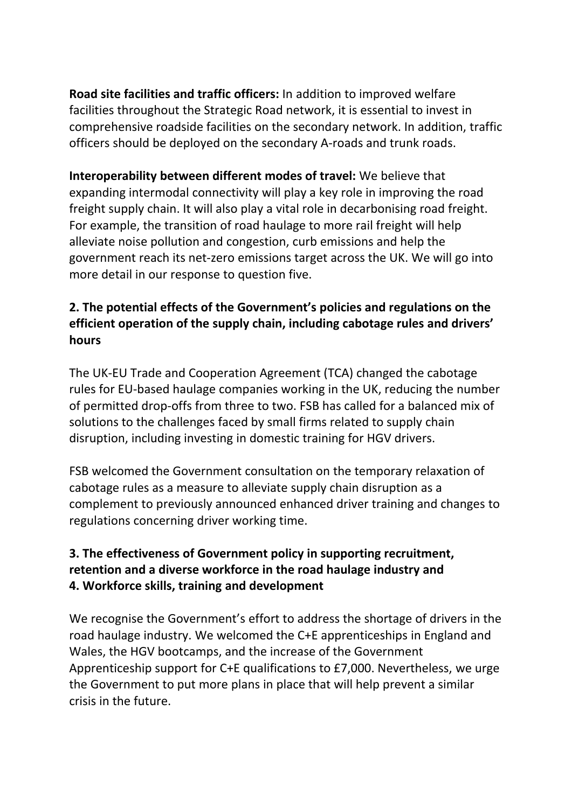**Road site facilities and traffic officers:** In addition to improved welfare facilities throughout the Strategic Road network, it is essential to invest in comprehensive roadside facilities on the secondary network. In addition, traffic officers should be deployed on the secondary A-roads and trunk roads.

**Interoperability between different modes of travel:** We believe that expanding intermodal connectivity will play a key role in improving the road freight supply chain. It will also play a vital role in decarbonising road freight. For example, the transition of road haulage to more rail freight will help alleviate noise pollution and congestion, curb emissions and help the government reach its net-zero emissions target across the UK. We will go into more detail in our response to question five.

# **2. The potential effects of the Government's policies and regulations on the efficient operation of the supply chain, including cabotage rules and drivers' hours**

The UK-EU Trade and Cooperation Agreement (TCA) changed the cabotage rules for EU-based haulage companies working in the UK, reducing the number of permitted drop-offs from three to two. FSB has called for a balanced mix of solutions to the challenges faced by small firms related to supply chain disruption, including investing in domestic training for HGV drivers.

FSB welcomed the Government consultation on the temporary relaxation of cabotage rules as a measure to alleviate supply chain disruption as a complement to previously announced enhanced driver training and changes to regulations concerning driver working time.

# **3. The effectiveness of Government policy in supporting recruitment, retention and a diverse workforce in the road haulage industry and 4. Workforce skills, training and development**

We recognise the Government's effort to address the shortage of drivers in the road haulage industry. We welcomed the C+E apprenticeships in England and Wales, the HGV bootcamps, and the increase of the Government Apprenticeship support for C+E qualifications to £7,000. Nevertheless, we urge the Government to put more plans in place that will help prevent a similar crisis in the future.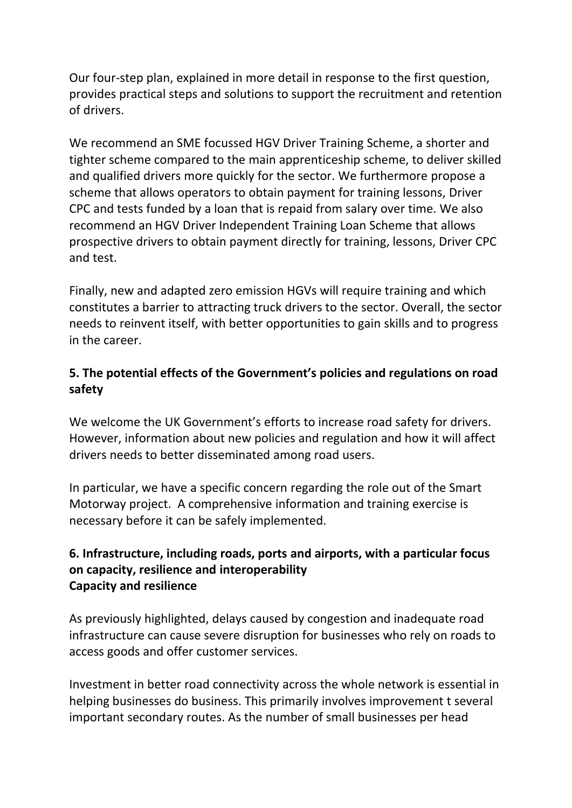Our four-step plan, explained in more detail in response to the first question, provides practical steps and solutions to support the recruitment and retention of drivers.

We recommend an SME focussed HGV Driver Training Scheme, a shorter and tighter scheme compared to the main apprenticeship scheme, to deliver skilled and qualified drivers more quickly for the sector. We furthermore propose a scheme that allows operators to obtain payment for training lessons, Driver CPC and tests funded by a loan that is repaid from salary over time. We also recommend an HGV Driver Independent Training Loan Scheme that allows prospective drivers to obtain payment directly for training, lessons, Driver CPC and test.

Finally, new and adapted zero emission HGVs will require training and which constitutes a barrier to attracting truck drivers to the sector. Overall, the sector needs to reinvent itself, with better opportunities to gain skills and to progress in the career.

# **5. The potential effects of the Government's policies and regulations on road safety**

We welcome the UK Government's efforts to increase road safety for drivers. However, information about new policies and regulation and how it will affect drivers needs to better disseminated among road users.

In particular, we have a specific concern regarding the role out of the Smart Motorway project. A comprehensive information and training exercise is necessary before it can be safely implemented.

### **6. Infrastructure, including roads, ports and airports, with a particular focus on capacity, resilience and interoperability Capacity and resilience**

As previously highlighted, delays caused by congestion and inadequate road infrastructure can cause severe disruption for businesses who rely on roads to access goods and offer customer services.

Investment in better road connectivity across the whole network is essential in helping businesses do business. This primarily involves improvement t several important secondary routes. As the number of small businesses per head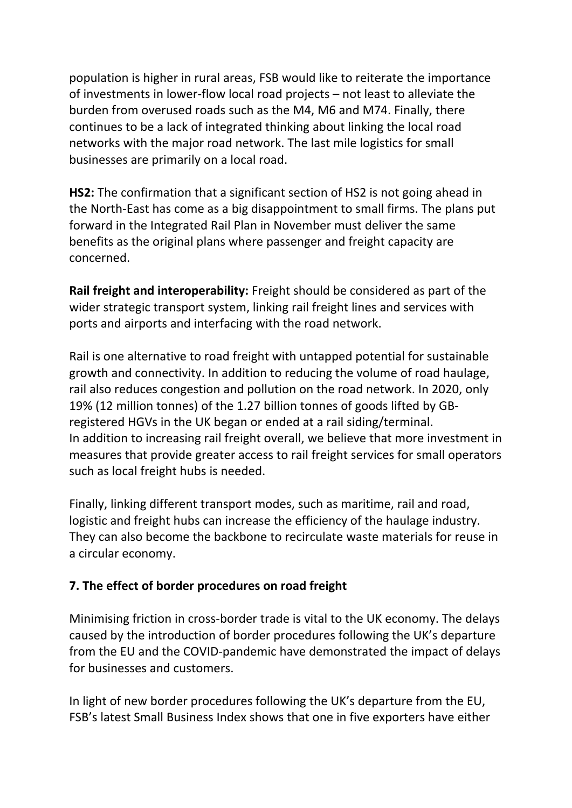population is higher in rural areas, FSB would like to reiterate the importance of investments in lower-flow local road projects – not least to alleviate the burden from overused roads such as the M4, M6 and M74. Finally, there continues to be a lack of integrated thinking about linking the local road networks with the major road network. The last mile logistics for small businesses are primarily on a local road.

**HS2:** The confirmation that a significant section of HS2 is not going ahead in the North-East has come as a big disappointment to small firms. The plans put forward in the Integrated Rail Plan in November must deliver the same benefits as the original plans where passenger and freight capacity are concerned.

**Rail freight and interoperability:** Freight should be considered as part of the wider strategic transport system, linking rail freight lines and services with ports and airports and interfacing with the road network.

Rail is one alternative to road freight with untapped potential for sustainable growth and connectivity. In addition to reducing the volume of road haulage, rail also reduces congestion and pollution on the road network. In 2020, only 19% (12 million tonnes) of the 1.27 billion tonnes of goods lifted by GBregistered HGVs in the UK began or ended at a rail siding/terminal. In addition to increasing rail freight overall, we believe that more investment in measures that provide greater access to rail freight services for small operators such as local freight hubs is needed.

Finally, linking different transport modes, such as maritime, rail and road, logistic and freight hubs can increase the efficiency of the haulage industry. They can also become the backbone to recirculate waste materials for reuse in a circular economy.

### **7. The effect of border procedures on road freight**

Minimising friction in cross-border trade is vital to the UK economy. The delays caused by the introduction of border procedures following the UK's departure from the EU and the COVID-pandemic have demonstrated the impact of delays for businesses and customers.

In light of new border procedures following the UK's departure from the EU, FSB's latest Small Business Index shows that one in five exporters have either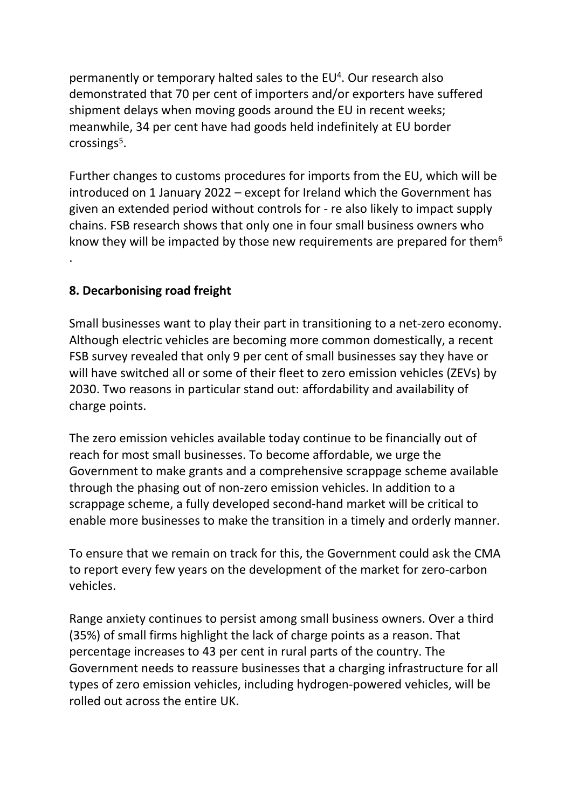permanently or temporary halted sales to the EU<sup>4</sup>. Our research also demonstrated that 70 per cent of importers and/or exporters have suffered shipment delays when moving goods around the EU in recent weeks; meanwhile, 34 per cent have had goods held indefinitely at EU border crossings<sup>5</sup>.

Further changes to customs procedures for imports from the EU, which will be introduced on 1 January 2022 – except for Ireland which the Government has given an extended period without controls for - re also likely to impact supply chains. FSB research shows that only one in four small business owners who know they will be impacted by those new requirements are prepared for them<sup>6</sup> .

### **8. Decarbonising road freight**

Small businesses want to play their part in transitioning to a net-zero economy. Although electric vehicles are becoming more common domestically, a recent FSB survey revealed that only 9 per cent of small businesses say they have or will have switched all or some of their fleet to zero emission vehicles (ZEVs) by 2030. Two reasons in particular stand out: affordability and availability of charge points.

The zero emission vehicles available today continue to be financially out of reach for most small businesses. To become affordable, we urge the Government to make grants and a comprehensive scrappage scheme available through the phasing out of non-zero emission vehicles. In addition to a scrappage scheme, a fully developed second-hand market will be critical to enable more businesses to make the transition in a timely and orderly manner.

To ensure that we remain on track for this, the Government could ask the CMA to report every few years on the development of the market for zero-carbon vehicles.

Range anxiety continues to persist among small business owners. Over a third (35%) of small firms highlight the lack of charge points as a reason. That percentage increases to 43 per cent in rural parts of the country. The Government needs to reassure businesses that a charging infrastructure for all types of zero emission vehicles, including hydrogen-powered vehicles, will be rolled out across the entire UK.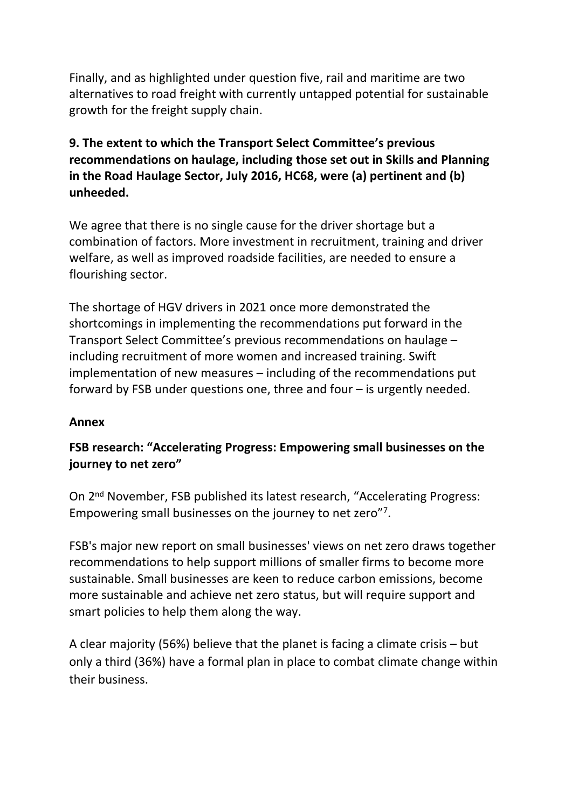Finally, and as highlighted under question five, rail and maritime are two alternatives to road freight with currently untapped potential for sustainable growth for the freight supply chain.

## **9. The extent to which the Transport Select Committee's previous recommendations on haulage, including those set out in Skills and Planning in the Road Haulage Sector, July 2016, HC68, were (a) pertinent and (b) unheeded.**

We agree that there is no single cause for the driver shortage but a combination of factors. More investment in recruitment, training and driver welfare, as well as improved roadside facilities, are needed to ensure a flourishing sector.

The shortage of HGV drivers in 2021 once more demonstrated the shortcomings in implementing the recommendations put forward in the Transport Select Committee's previous recommendations on haulage – including recruitment of more women and increased training. Swift implementation of new measures – including of the recommendations put forward by FSB under questions one, three and four – is urgently needed.

#### **Annex**

### **FSB research: "Accelerating Progress: Empowering small businesses on the journey to net zero"**

On 2<sup>nd</sup> November, FSB published its latest research, "Accelerating Progress: Empowering small businesses on the journey to net zero"<sup>7</sup> .

FSB's major new report on small businesses' views on net zero draws together recommendations to help support millions of smaller firms to become more sustainable. Small businesses are keen to reduce carbon emissions, become more sustainable and achieve net zero status, but will require support and smart policies to help them along the way.

A clear majority (56%) believe that the planet is facing a climate crisis – but only a third (36%) have a formal plan in place to combat climate change within their business.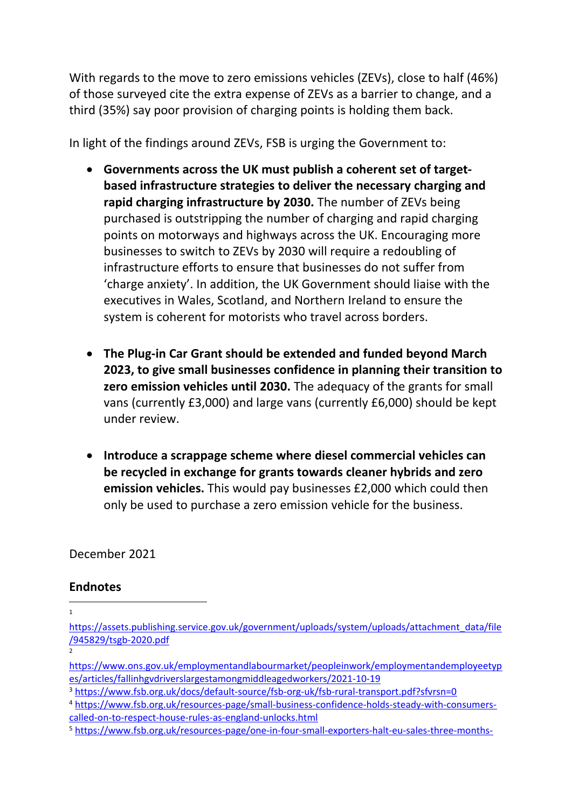With regards to the move to zero emissions vehicles (ZEVs), close to half (46%) of those surveyed cite the extra expense of ZEVs as a barrier to change, and a third (35%) say poor provision of charging points is holding them back.

In light of the findings around ZEVs, FSB is urging the Government to:

- **Governments across the UK must publish a coherent set of targetbased infrastructure strategies to deliver the necessary charging and rapid charging infrastructure by 2030.** The number of ZEVs being purchased is outstripping the number of charging and rapid charging points on motorways and highways across the UK. Encouraging more businesses to switch to ZEVs by 2030 will require a redoubling of infrastructure efforts to ensure that businesses do not suffer from 'charge anxiety'. In addition, the UK Government should liaise with the executives in Wales, Scotland, and Northern Ireland to ensure the system is coherent for motorists who travel across borders.
- **The Plug-in Car Grant should be extended and funded beyond March 2023, to give small businesses confidence in planning their transition to zero emission vehicles until 2030.** The adequacy of the grants for small vans (currently £3,000) and large vans (currently £6,000) should be kept under review.
- **Introduce a scrappage scheme where diesel commercial vehicles can be recycled in exchange for grants towards cleaner hybrids and zero emission vehicles.** This would pay businesses £2,000 which could then only be used to purchase a zero emission vehicle for the business.

December 2021

#### **Endnotes**

1

[https://assets.publishing.service.gov.uk/government/uploads/system/uploads/attachment\\_data/file](https://assets.publishing.service.gov.uk/government/uploads/system/uploads/attachment_data/file/945829/tsgb-2020.pdf) [/945829/tsgb-2020.pdf](https://assets.publishing.service.gov.uk/government/uploads/system/uploads/attachment_data/file/945829/tsgb-2020.pdf)

<sup>2</sup>

[https://www.ons.gov.uk/employmentandlabourmarket/peopleinwork/employmentandemployeetyp](https://www.ons.gov.uk/employmentandlabourmarket/peopleinwork/employmentandemployeetypes/articles/fallinhgvdriverslargestamongmiddleagedworkers/2021-10-19) [es/articles/fallinhgvdriverslargestamongmiddleagedworkers/2021-10-19](https://www.ons.gov.uk/employmentandlabourmarket/peopleinwork/employmentandemployeetypes/articles/fallinhgvdriverslargestamongmiddleagedworkers/2021-10-19)

<sup>3</sup> <https://www.fsb.org.uk/docs/default-source/fsb-org-uk/fsb-rural-transport.pdf?sfvrsn=0>

<sup>4</sup> [https://www.fsb.org.uk/resources-page/small-business-confidence-holds-steady-with-consumers](https://www.fsb.org.uk/resources-page/small-business-confidence-holds-steady-with-consumers-called-on-to-respect-house-rules-as-england-unlocks.html)[called-on-to-respect-house-rules-as-england-unlocks.html](https://www.fsb.org.uk/resources-page/small-business-confidence-holds-steady-with-consumers-called-on-to-respect-house-rules-as-england-unlocks.html)

<sup>5</sup> [https://www.fsb.org.uk/resources-page/one-in-four-small-exporters-halt-eu-sales-three-months-](https://www.fsb.org.uk/resources-page/one-in-four-small-exporters-halt-eu-sales-three-months-on-from-transition-end-new-study-finds.html)